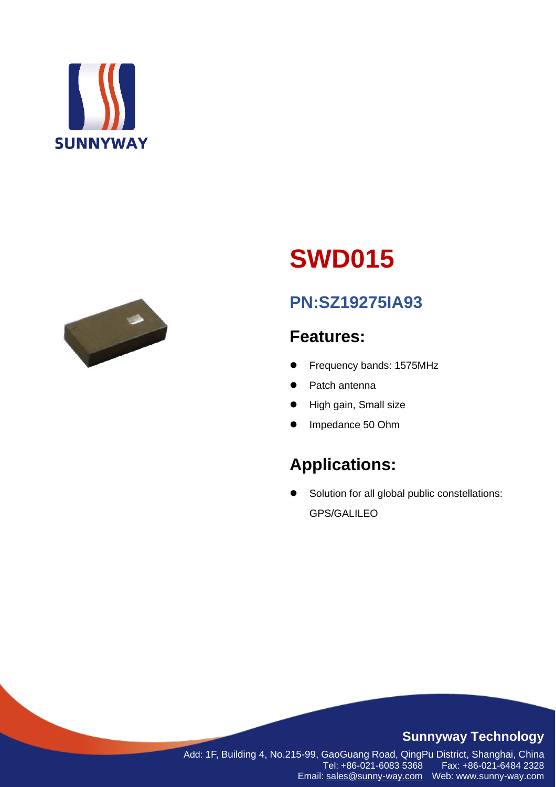



# **SWD015**

# **PN:SZ19275IA93**

# **Features:**

- Frequency bands: 1575MHz
- ⚫ Patch antenna
- ⚫ High gain, Small size
- ⚫ Impedance 50 Ohm

# **Applications:**

● Solution for all global public constellations: GPS/GALILEO

### **Sunnyway Technology**

Add: 1F, Building 4, No.215-99, GaoGuang Road, QingPu District, Shanghai, China Fax: +86-021-6484 2328 Email: [sales@sunny-way.com](mailto:sales@sunny-way.com) Web: www.sunny-way.com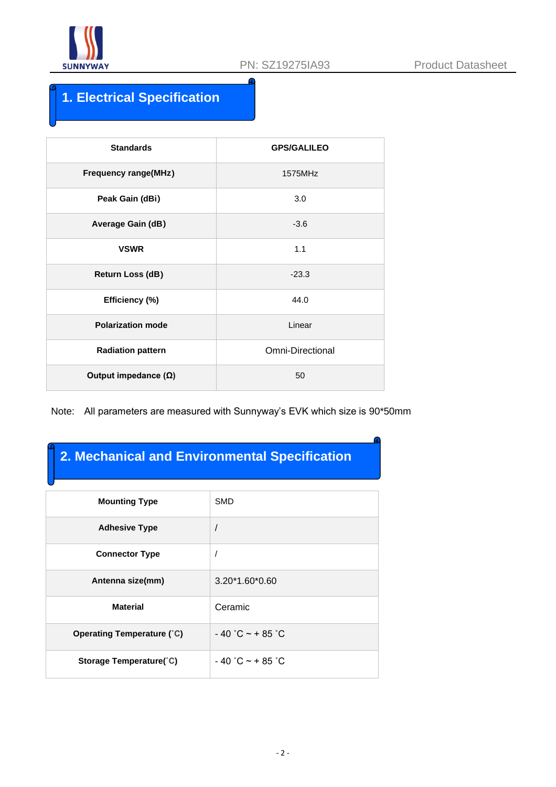

## **1. Electrical Specification**

| <b>Standards</b>            | <b>GPS/GALILEO</b>      |
|-----------------------------|-------------------------|
| <b>Frequency range(MHz)</b> | 1575MHz                 |
| Peak Gain (dBi)             | 3.0                     |
| <b>Average Gain (dB)</b>    | $-3.6$                  |
| <b>VSWR</b>                 | 1.1                     |
| Return Loss (dB)            | $-23.3$                 |
| Efficiency (%)              | 44.0                    |
| <b>Polarization mode</b>    | Linear                  |
| <b>Radiation pattern</b>    | <b>Omni-Directional</b> |
| Output impedance $(\Omega)$ | 50                      |

Note: All parameters are measured with Sunnyway's EVK which size is 90\*50mm

### **2. Mechanical and Environmental Specification**

| <b>Mounting Type</b>              | <b>SMD</b>         |
|-----------------------------------|--------------------|
| <b>Adhesive Type</b>              |                    |
| <b>Connector Type</b>             |                    |
| Antenna size(mm)                  | 3.20*1.60*0.60     |
| <b>Material</b>                   | Ceramic            |
| <b>Operating Temperature (°C)</b> | $-40$ °C ~ + 85 °C |
| Storage Temperature(°C)           | $-40$ °C ~ + 85 °C |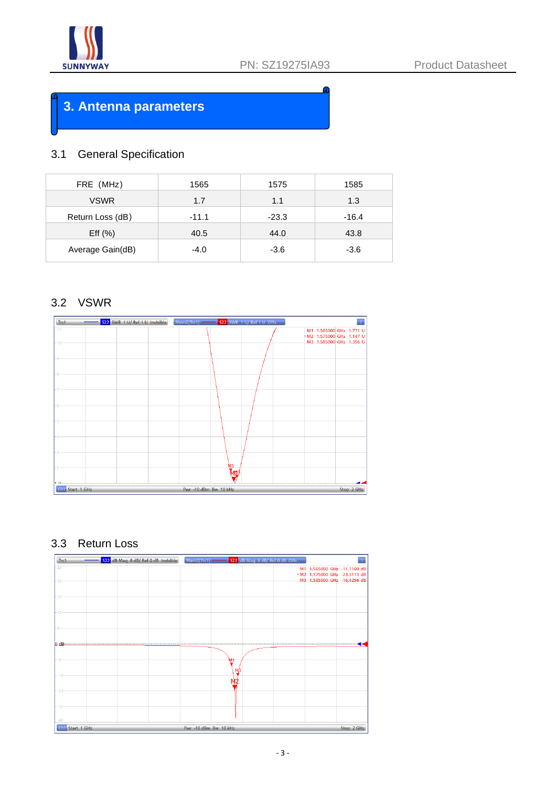

### **3. Antenna parameters**

### 3.1 General Specification

| FRE (MHz)        | 1565    | 1575    | 1585    |
|------------------|---------|---------|---------|
| <b>VSWR</b>      | 1.7     | 1.1     | 1.3     |
| Return Loss (dB) | $-11.1$ | $-23.3$ | $-16.4$ |
| Eff $(% )$       | 40.5    | 44.0    | 43.8    |
| Average Gain(dB) | $-4.0$  | $-3.6$  | $-3.6$  |

### 3.2 VSWR



### 3.3 Return Loss

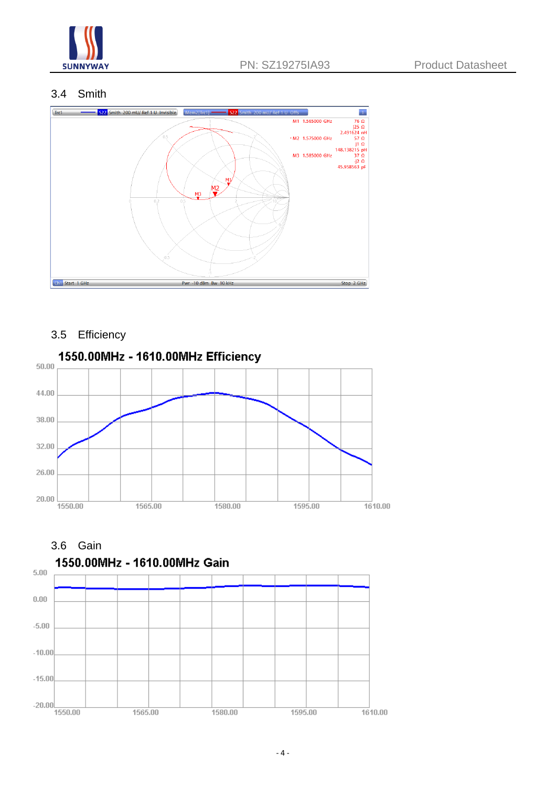

### 3.4 Smith



### 3.5 Efficiency



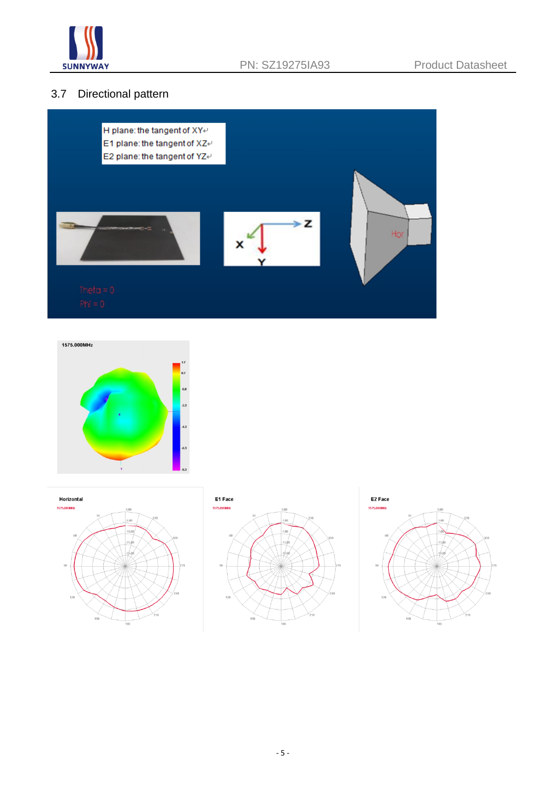

### 3.7 Directional pattern









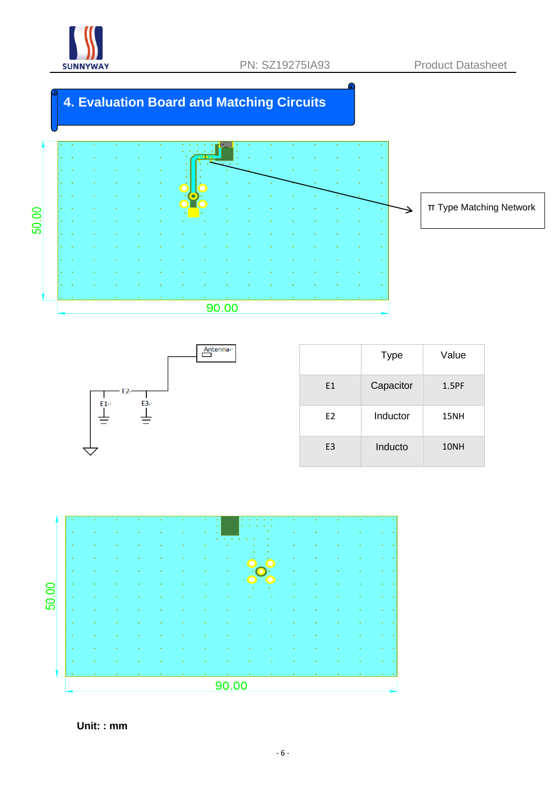

# **4. Evaluation Board and Matching Circuits**





|                | <b>Type</b> | Value |
|----------------|-------------|-------|
| E1             | Capacitor   | 1.5PF |
| E <sub>2</sub> | Inductor    | 15NH  |
| E <sub>3</sub> | Inducto     | 10NH  |



 **Unit: : mm**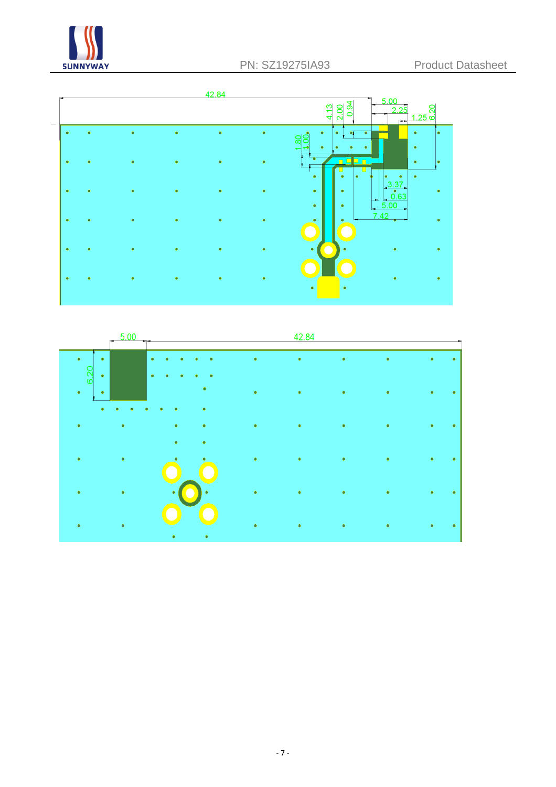



|                     | 5.00<br>Îщ. |                |           | 42.84     |           |   |        |
|---------------------|-------------|----------------|-----------|-----------|-----------|---|--------|
| ٠<br>٠<br>6.20<br>۰ |             | $\bullet$<br>٠ | ٠         | $\bullet$ | $\bullet$ | ٠ | ٠<br>٠ |
| $\bullet$<br>٠<br>۰ |             | ٠<br>٠         | $\bullet$ | $\bullet$ | ۰         | ¢ | ٠<br>٠ |
| ٠                   |             | ٠<br>٠<br>٠    | ٠         | ٠         | ٠         | ٠ | ٠<br>٠ |
| ٠                   |             | ٠<br>٠         | ٠         | ٠         | ٠         |   | ٠<br>٠ |
|                     |             | ٠<br>٠         | ۰         | ٠         | ۰         |   | ٠<br>٠ |
|                     |             | ٠<br>٠         | ۰         | ٠         |           |   | ٠<br>٠ |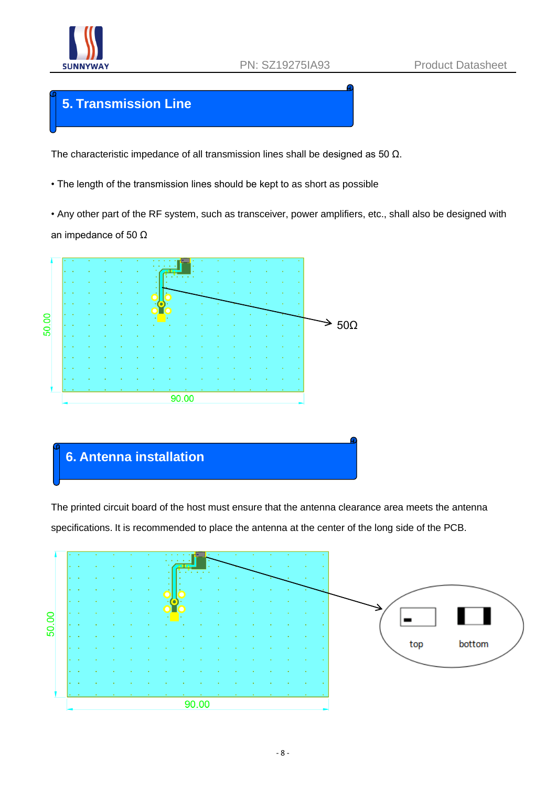

### **5. Transmission Line**

The characteristic impedance of all transmission lines shall be designed as 50 Ω.

• The length of the transmission lines should be kept to as short as possible

• Any other part of the RF system, such as transceiver, power amplifiers, etc., shall also be designed with an impedance of 50 Ω



### **6. Antenna installation**

The printed circuit board of the host must ensure that the antenna clearance area meets the antenna specifications. It is recommended to place the antenna at the center of the long side of the PCB.

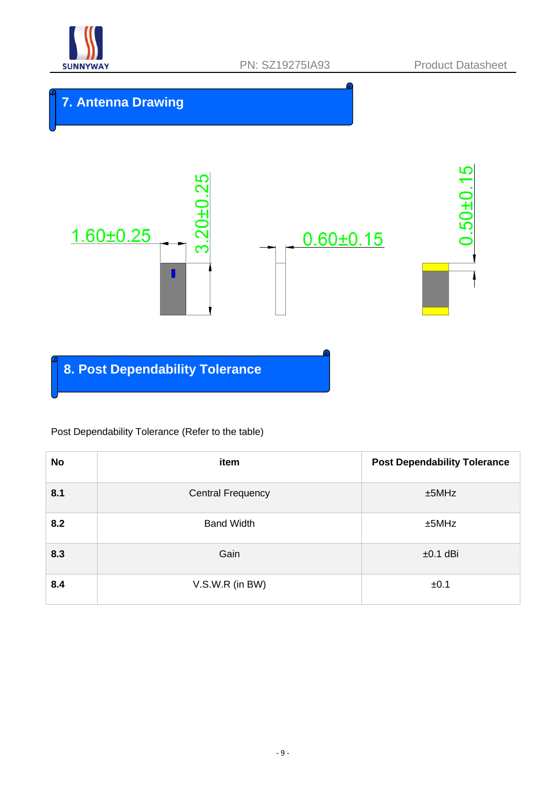

### **7. Antenna Drawing**



**8. Post Dependability Tolerance**

### Post Dependability Tolerance (Refer to the table)

| <b>No</b> | item                     | <b>Post Dependability Tolerance</b> |
|-----------|--------------------------|-------------------------------------|
| 8.1       | <b>Central Frequency</b> | ±5MHz                               |
| 8.2       | <b>Band Width</b>        | ±5MHz                               |
| 8.3       | Gain                     | $±0.1$ dBi                          |
| 8.4       | V.S.W.R (in BW)          | ±0.1                                |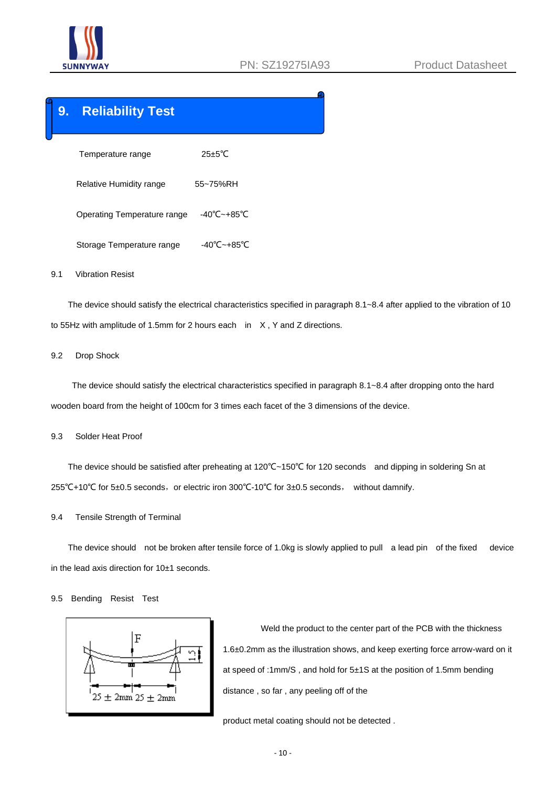

### **9. Reliability Test**

```
Temperature range 25±5℃
      Relative Humidity range 55~75%RH
      Operating Temperature range -40℃~+85℃
     Storage Temperature range -40℃~+85℃
9.1 Vibration Resist
```
 The device should satisfy the electrical characteristics specified in paragraph 8.1~8.4 after applied to the vibration of 10 to 55Hz with amplitude of 1.5mm for 2 hours each in X, Y and Z directions.

#### 9.2 Drop Shock

 The device should satisfy the electrical characteristics specified in paragraph 8.1~8.4 after dropping onto the hard wooden board from the height of 100cm for 3 times each facet of the 3 dimensions of the device.

#### 9.3 Solder Heat Proof

 The device should be satisfied after preheating at 120℃~150℃ for 120 seconds and dipping in soldering Sn at 255°C+10°C for 5±0.5 seconds, or electric iron 300°C-10°C for 3±0.5 seconds, without damnify.

9.4 Tensile Strength of Terminal

 The device should not be broken after tensile force of 1.0kg is slowly applied to pull a lead pin of the fixed device in the lead axis direction for 10±1 seconds.

#### 9.5 Bending Resist Test



 Weld the product to the center part of the PCB with the thickness 1.6±0.2mm as the illustration shows, and keep exerting force arrow-ward on it at speed of :1mm/S , and hold for 5±1S at the position of 1.5mm bending distance , so far , any peeling off of the

product metal coating should not be detected .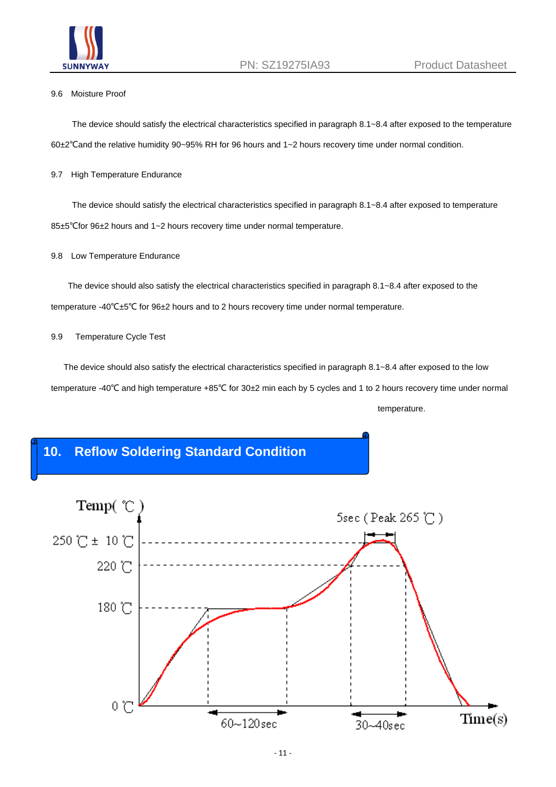

#### 9.6 Moisture Proof

 The device should satisfy the electrical characteristics specified in paragraph 8.1~8.4 after exposed to the temperature 60±2℃and the relative humidity 90~95% RH for 96 hours and 1~2 hours recovery time under normal condition.

#### 9.7 High Temperature Endurance

 The device should satisfy the electrical characteristics specified in paragraph 8.1~8.4 after exposed to temperature 85±5℃for 96±2 hours and 1~2 hours recovery time under normal temperature.

#### 9.8 Low Temperature Endurance

 The device should also satisfy the electrical characteristics specified in paragraph 8.1~8.4 after exposed to the temperature -40℃±5℃ for 96±2 hours and to 2 hours recovery time under normal temperature.

#### 9.9 Temperature Cycle Test

 The device should also satisfy the electrical characteristics specified in paragraph 8.1~8.4 after exposed to the low temperature -40℃ and high temperature +85℃ for 30±2 min each by 5 cycles and 1 to 2 hours recovery time under normal temperature.

### **10. Reflow Soldering Standard Condition**